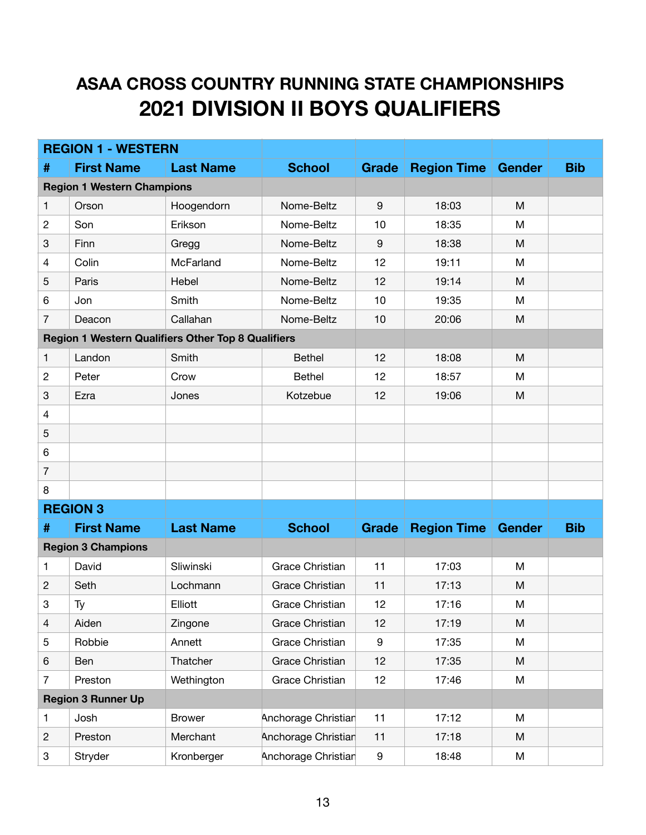## **ASAA CROSS COUNTRY RUNNING STATE CHAMPIONSHIPS 2021 DIVISION II BOYS QUALIFIERS**

| <b>REGION 1 - WESTERN</b>         |                                                           |                  |                        |                  |                    |               |            |
|-----------------------------------|-----------------------------------------------------------|------------------|------------------------|------------------|--------------------|---------------|------------|
| #                                 | <b>First Name</b>                                         | <b>Last Name</b> | <b>School</b>          | Grade            | <b>Region Time</b> | <b>Gender</b> | <b>Bib</b> |
| <b>Region 1 Western Champions</b> |                                                           |                  |                        |                  |                    |               |            |
| 1                                 | Orson                                                     | Hoogendorn       | Nome-Beltz             | $9\,$            | 18:03              | M             |            |
| $\overline{c}$                    | Son                                                       | Erikson          | Nome-Beltz             | 10               | 18:35              | M             |            |
| 3                                 | Finn                                                      | Gregg            | Nome-Beltz             | $9\,$            | 18:38              | M             |            |
| $\overline{4}$                    | Colin                                                     | McFarland        | Nome-Beltz             | 12               | 19:11              | M             |            |
| 5                                 | Paris                                                     | Hebel            | Nome-Beltz             | 12               | 19:14              | M             |            |
| 6                                 | Jon                                                       | Smith            | Nome-Beltz             | 10               | 19:35              | M             |            |
| $\overline{7}$                    | Deacon                                                    | Callahan         | Nome-Beltz             | 10               | 20:06              | M             |            |
|                                   | <b>Region 1 Western Qualifiers Other Top 8 Qualifiers</b> |                  |                        |                  |                    |               |            |
| $\mathbf{1}$                      | Landon                                                    | Smith            | <b>Bethel</b>          | 12               | 18:08              | M             |            |
| $\overline{c}$                    | Peter                                                     | Crow             | <b>Bethel</b>          | 12               | 18:57              | M             |            |
| 3                                 | Ezra                                                      | Jones            | Kotzebue               | 12               | 19:06              | M             |            |
| $\overline{4}$                    |                                                           |                  |                        |                  |                    |               |            |
| 5                                 |                                                           |                  |                        |                  |                    |               |            |
| 6                                 |                                                           |                  |                        |                  |                    |               |            |
| $\overline{7}$                    |                                                           |                  |                        |                  |                    |               |            |
| 8                                 |                                                           |                  |                        |                  |                    |               |            |
|                                   | <b>REGION 3</b>                                           |                  |                        |                  |                    |               |            |
| #                                 | <b>First Name</b>                                         | <b>Last Name</b> | <b>School</b>          | <b>Grade</b>     | <b>Region Time</b> | <b>Gender</b> | <b>Bib</b> |
| <b>Region 3 Champions</b>         |                                                           |                  |                        |                  |                    |               |            |
| 1                                 | David                                                     | Sliwinski        | <b>Grace Christian</b> | 11               | 17:03              | M             |            |
| $\mathbf{c}$                      | Seth                                                      | Lochmann         | <b>Grace Christian</b> | 11               | 17:13              | M             |            |
| 3                                 | Ty                                                        | Elliott          | <b>Grace Christian</b> | 12               | 17:16              | M             |            |
| $\overline{4}$                    | Aiden                                                     | Zingone          | Grace Christian        | 12               | 17:19              | M             |            |
| 5                                 | Robbie                                                    | Annett           | Grace Christian        | $\boldsymbol{9}$ | 17:35              | M             |            |
| 6                                 | Ben                                                       | Thatcher         | <b>Grace Christian</b> | 12               | 17:35              | M             |            |
| $\overline{7}$                    | Preston                                                   | Wethington       | Grace Christian        | 12               | 17:46              | M             |            |
| <b>Region 3 Runner Up</b>         |                                                           |                  |                        |                  |                    |               |            |
| $\mathbf{1}$                      | Josh                                                      | <b>Brower</b>    | Anchorage Christian    | 11               | 17:12              | M             |            |
| $\overline{c}$                    | Preston                                                   | Merchant         | Anchorage Christian    | 11               | 17:18              | M             |            |
| 3                                 | Stryder                                                   | Kronberger       | Anchorage Christian    | $\boldsymbol{9}$ | 18:48              | M             |            |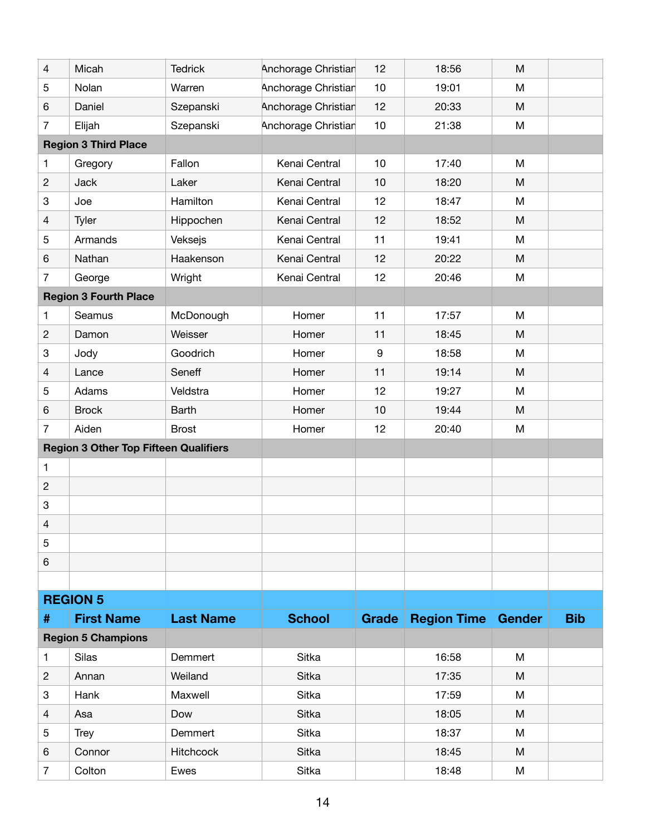| 4                                            | Micah                        | <b>Tedrick</b>   | Anchorage Christian | 12               | 18:56                     | M |            |  |
|----------------------------------------------|------------------------------|------------------|---------------------|------------------|---------------------------|---|------------|--|
| 5                                            | Nolan                        | Warren           | Anchorage Christian | 10               | 19:01                     | M |            |  |
| 6                                            | Daniel                       | Szepanski        | Anchorage Christian | 12               | 20:33                     | M |            |  |
| $\overline{7}$                               | Elijah                       | Szepanski        | Anchorage Christian | 10               | 21:38                     | M |            |  |
|                                              | <b>Region 3 Third Place</b>  |                  |                     |                  |                           |   |            |  |
| 1                                            | Gregory                      | Fallon           | Kenai Central       | 10               | 17:40                     | M |            |  |
| $\overline{c}$                               | Jack                         | Laker            | Kenai Central       | 10               | 18:20                     | M |            |  |
| 3                                            | Joe                          | Hamilton         | Kenai Central       | 12               | 18:47                     | M |            |  |
| 4                                            | Tyler                        | Hippochen        | Kenai Central       | 12               | 18:52                     | M |            |  |
| 5                                            | Armands                      | Veksejs          | Kenai Central       | 11               | 19:41                     | M |            |  |
| 6                                            | Nathan                       | Haakenson        | Kenai Central       | 12               | 20:22                     | M |            |  |
| $\overline{7}$                               | George                       | Wright           | Kenai Central       | 12               | 20:46                     | M |            |  |
|                                              | <b>Region 3 Fourth Place</b> |                  |                     |                  |                           |   |            |  |
| 1                                            | Seamus                       | McDonough        | Homer               | 11               | 17:57                     | M |            |  |
| $\overline{c}$                               | Damon                        | Weisser          | Homer               | 11               | 18:45                     | M |            |  |
| 3                                            | Jody                         | Goodrich         | Homer               | $\boldsymbol{9}$ | 18:58                     | M |            |  |
| 4                                            | Lance                        | Seneff           | Homer               | 11               | 19:14                     | M |            |  |
| 5                                            | Adams                        | Veldstra         | Homer               | 12               | 19:27                     | M |            |  |
| 6                                            | <b>Brock</b>                 | <b>Barth</b>     | Homer               | 10               | 19:44                     | M |            |  |
| $\overline{7}$                               | Aiden                        | <b>Brost</b>     | Homer               | 12               | 20:40                     | M |            |  |
| <b>Region 3 Other Top Fifteen Qualifiers</b> |                              |                  |                     |                  |                           |   |            |  |
| 1                                            |                              |                  |                     |                  |                           |   |            |  |
| $\overline{c}$                               |                              |                  |                     |                  |                           |   |            |  |
| 3                                            |                              |                  |                     |                  |                           |   |            |  |
| 4                                            |                              |                  |                     |                  |                           |   |            |  |
| 5                                            |                              |                  |                     |                  |                           |   |            |  |
| 6                                            |                              |                  |                     |                  |                           |   |            |  |
|                                              |                              |                  |                     |                  |                           |   |            |  |
| <b>REGION 5</b>                              |                              |                  |                     |                  |                           |   |            |  |
| #                                            | <b>First Name</b>            | <b>Last Name</b> | <b>School</b>       | Grade            | <b>Region Time Gender</b> |   | <b>Bib</b> |  |
|                                              | <b>Region 5 Champions</b>    |                  |                     |                  |                           |   |            |  |
| 1                                            | Silas                        | Demmert          | Sitka               |                  | 16:58                     | M |            |  |
| $\overline{c}$                               | Annan                        | Weiland          | Sitka               |                  | 17:35                     | M |            |  |
| 3                                            | Hank                         | Maxwell          | Sitka               |                  | 17:59                     | M |            |  |
| 4                                            | Asa                          | Dow              | Sitka               |                  | 18:05                     | M |            |  |
| 5                                            | <b>Trey</b>                  | Demmert          | Sitka               |                  | 18:37                     | M |            |  |
| 6                                            | Connor                       | <b>Hitchcock</b> | Sitka               |                  | 18:45                     | M |            |  |
| 7                                            | Colton                       | Ewes             | Sitka               |                  | 18:48                     | M |            |  |